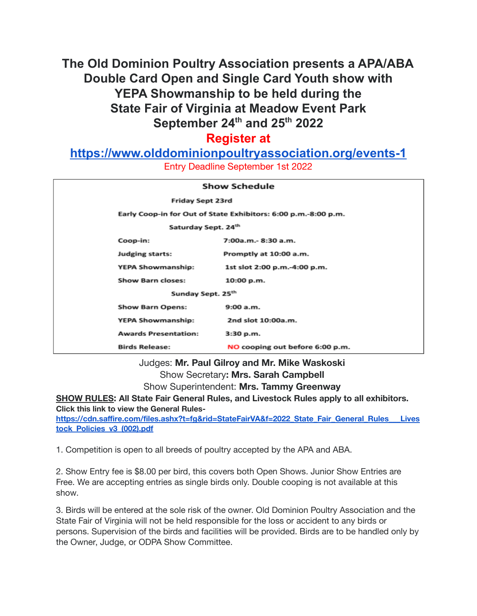# **The Old Dominion Poultry Association presents a APA/ABA Double Card Open and Single Card Youth show with YEPA Showmanship to be held during the State Fair of Virginia at Meadow Event Park September 24 th and 25 th 2022**

## **Register at**

**<https://www.olddominionpoultryassociation.org/events-1>**

Entry Deadline September 1st 2022

| <b>Show Schedule</b>                                                                                                                                                                                                                          |  |                                 |
|-----------------------------------------------------------------------------------------------------------------------------------------------------------------------------------------------------------------------------------------------|--|---------------------------------|
| Friday Sept 23rd                                                                                                                                                                                                                              |  |                                 |
| Early Coop-in for Out of State Exhibitors: 6:00 p.m.-8:00 p.m.                                                                                                                                                                                |  |                                 |
| Saturday Sept. 24th                                                                                                                                                                                                                           |  |                                 |
|                                                                                                                                                                                                                                               |  |                                 |
|                                                                                                                                                                                                                                               |  |                                 |
|                                                                                                                                                                                                                                               |  | 1st slot 2:00 p.m.-4:00 p.m.    |
|                                                                                                                                                                                                                                               |  | 10:00 p.m.                      |
| Sunday Sept. 25th                                                                                                                                                                                                                             |  |                                 |
|                                                                                                                                                                                                                                               |  | 9:00a.m.                        |
|                                                                                                                                                                                                                                               |  | 2nd slot 10:00a.m.              |
|                                                                                                                                                                                                                                               |  | 3:30 p.m.                       |
|                                                                                                                                                                                                                                               |  | NO cooping out before 6:00 p.m. |
| Coop-in:<br>$7:00a.m.-8:30 a.m.$<br><b>Judging starts:</b><br>Promptly at 10:00 a.m.<br>YEPA Showmanship:<br><b>Show Barn closes:</b><br><b>Show Barn Opens:</b><br>YEPA Showmanship:<br><b>Awards Presentation:</b><br><b>Birds Release:</b> |  |                                 |

Judges: **Mr. Paul Gilroy and Mr. Mike Waskoski** Show Secretary**: Mrs. Sarah Campbell** Show Superintendent: **Mrs. Tammy Greenway**

**SHOW RULES: All State Fair General Rules, and Livestock Rules apply to all exhibitors. Click this link to view the General Rules-**

**[https://cdn.saffire.com/files.ashx?t=fg&rid=StateFairVA&f=2022\\_State\\_Fair\\_General\\_Rules\\_\\_\\_Lives](https://cdn.saffire.com/files.ashx?t=fg&rid=StateFairVA&f=2022_State_Fair_General_Rules___Livestock_Policies_v3_(002).pdf) [tock\\_Policies\\_v3\\_\(002\).pdf](https://cdn.saffire.com/files.ashx?t=fg&rid=StateFairVA&f=2022_State_Fair_General_Rules___Livestock_Policies_v3_(002).pdf)**

1. Competition is open to all breeds of poultry accepted by the APA and ABA.

2. Show Entry fee is \$8.00 per bird, this covers both Open Shows. Junior Show Entries are Free. We are accepting entries as single birds only. Double cooping is not available at this show.

3. Birds will be entered at the sole risk of the owner. Old Dominion Poultry Association and the State Fair of Virginia will not be held responsible for the loss or accident to any birds or persons. Supervision of the birds and facilities will be provided. Birds are to be handled only by the Owner, Judge, or ODPA Show Committee.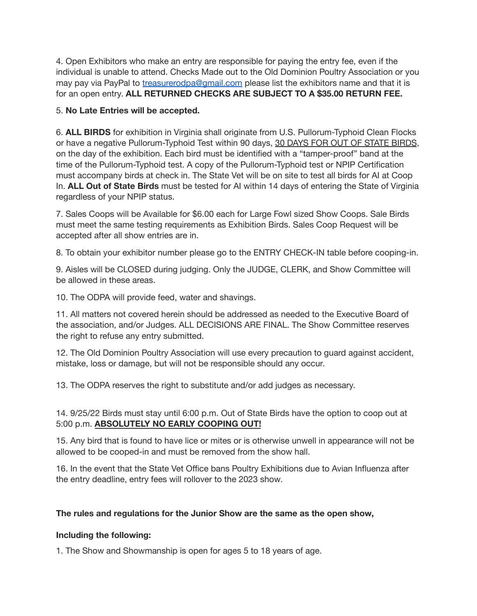4. Open Exhibitors who make an entry are responsible for paying the entry fee, even if the individual is unable to attend. Checks Made out to the Old Dominion Poultry Association or you may pay via PayPal to [treasurerodpa@gmail.com](mailto:treasurerodpa@gmail.com) please list the exhibitors name and that it is for an open entry. **ALL RETURNED CHECKS ARE SUBJECT TO A \$35.00 RETURN FEE.**

#### 5. **No Late Entries will be accepted.**

6. **ALL BIRDS** for exhibition in Virginia shall originate from U.S. Pullorum-Typhoid Clean Flocks or have a negative Pullorum-Typhoid Test within 90 days, 30 DAYS FOR OUT OF STATE BIRDS, on the day of the exhibition. Each bird must be identified with a "tamper-proof" band at the time of the Pullorum-Typhoid test. A copy of the Pullorum-Typhoid test or NPIP Certification must accompany birds at check in. The State Vet will be on site to test all birds for AI at Coop In. **ALL Out of State Birds** must be tested for AI within 14 days of entering the State of Virginia regardless of your NPIP status.

7. Sales Coops will be Available for \$6.00 each for Large Fowl sized Show Coops. Sale Birds must meet the same testing requirements as Exhibition Birds. Sales Coop Request will be accepted after all show entries are in.

8. To obtain your exhibitor number please go to the ENTRY CHECK-IN table before cooping-in.

9. Aisles will be CLOSED during judging. Only the JUDGE, CLERK, and Show Committee will be allowed in these areas.

10. The ODPA will provide feed, water and shavings.

11. All matters not covered herein should be addressed as needed to the Executive Board of the association, and/or Judges. ALL DECISIONS ARE FINAL. The Show Committee reserves the right to refuse any entry submitted.

12. The Old Dominion Poultry Association will use every precaution to guard against accident, mistake, loss or damage, but will not be responsible should any occur.

13. The ODPA reserves the right to substitute and/or add judges as necessary.

14. 9/25/22 Birds must stay until 6:00 p.m. Out of State Birds have the option to coop out at 5:00 p.m. **ABSOLUTELY NO EARLY COOPING OUT!**

15. Any bird that is found to have lice or mites or is otherwise unwell in appearance will not be allowed to be cooped-in and must be removed from the show hall.

16. In the event that the State Vet Office bans Poultry Exhibitions due to Avian Influenza after the entry deadline, entry fees will rollover to the 2023 show.

### **The rules and regulations for the Junior Show are the same as the open show,**

#### **Including the following:**

1. The Show and Showmanship is open for ages 5 to 18 years of age.